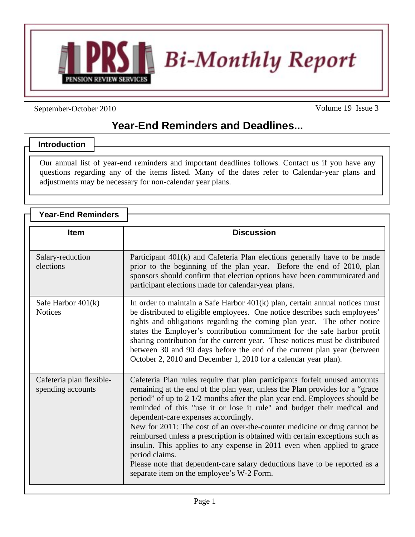

September-October 2010

Volume 19 Issue 3

## **Year-End Reminders and Deadlines...**

## **Introduction**

Our annual list of year-end reminders and important deadlines follows. Contact us if you have any questions regarding any of the items listed. Many of the dates refer to Calendar-year plans and adjustments may be necessary for non-calendar year plans.

| <b>Year-End Reminders</b>                     |                                                                                                                                                                                                                                                                                                                                                                                                                                                                                                                                                                                                                                                                                                                                                 |
|-----------------------------------------------|-------------------------------------------------------------------------------------------------------------------------------------------------------------------------------------------------------------------------------------------------------------------------------------------------------------------------------------------------------------------------------------------------------------------------------------------------------------------------------------------------------------------------------------------------------------------------------------------------------------------------------------------------------------------------------------------------------------------------------------------------|
|                                               |                                                                                                                                                                                                                                                                                                                                                                                                                                                                                                                                                                                                                                                                                                                                                 |
| <b>Item</b>                                   | <b>Discussion</b>                                                                                                                                                                                                                                                                                                                                                                                                                                                                                                                                                                                                                                                                                                                               |
| Salary-reduction<br>elections                 | Participant 401(k) and Cafeteria Plan elections generally have to be made<br>prior to the beginning of the plan year. Before the end of 2010, plan<br>sponsors should confirm that election options have been communicated and<br>participant elections made for calendar-year plans.                                                                                                                                                                                                                                                                                                                                                                                                                                                           |
| Safe Harbor $401(k)$<br><b>Notices</b>        | In order to maintain a Safe Harbor 401(k) plan, certain annual notices must<br>be distributed to eligible employees. One notice describes such employees'<br>rights and obligations regarding the coming plan year. The other notice<br>states the Employer's contribution commitment for the safe harbor profit<br>sharing contribution for the current year. These notices must be distributed<br>between 30 and 90 days before the end of the current plan year (between<br>October 2, 2010 and December 1, 2010 for a calendar year plan).                                                                                                                                                                                                  |
| Cafeteria plan flexible-<br>spending accounts | Cafeteria Plan rules require that plan participants forfeit unused amounts<br>remaining at the end of the plan year, unless the Plan provides for a "grace"<br>period" of up to 2 1/2 months after the plan year end. Employees should be<br>reminded of this "use it or lose it rule" and budget their medical and<br>dependent-care expenses accordingly.<br>New for 2011: The cost of an over-the-counter medicine or drug cannot be<br>reimbursed unless a prescription is obtained with certain exceptions such as<br>insulin. This applies to any expense in 2011 even when applied to grace<br>period claims.<br>Please note that dependent-care salary deductions have to be reported as a<br>separate item on the employee's W-2 Form. |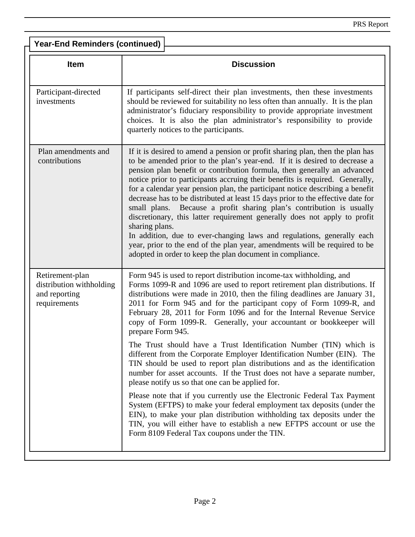| <b>Year-End Reminders (continued)</b>                                        |                                                                                                                                                                                                                                                                                                                                                                                                                                                                                                                                                                                                                                                                                                                                                                                                                                                                                         |  |
|------------------------------------------------------------------------------|-----------------------------------------------------------------------------------------------------------------------------------------------------------------------------------------------------------------------------------------------------------------------------------------------------------------------------------------------------------------------------------------------------------------------------------------------------------------------------------------------------------------------------------------------------------------------------------------------------------------------------------------------------------------------------------------------------------------------------------------------------------------------------------------------------------------------------------------------------------------------------------------|--|
| <b>Item</b>                                                                  | <b>Discussion</b>                                                                                                                                                                                                                                                                                                                                                                                                                                                                                                                                                                                                                                                                                                                                                                                                                                                                       |  |
| Participant-directed<br>investments                                          | If participants self-direct their plan investments, then these investments<br>should be reviewed for suitability no less often than annually. It is the plan<br>administrator's fiduciary responsibility to provide appropriate investment<br>choices. It is also the plan administrator's responsibility to provide<br>quarterly notices to the participants.                                                                                                                                                                                                                                                                                                                                                                                                                                                                                                                          |  |
| Plan amendments and<br>contributions                                         | If it is desired to amend a pension or profit sharing plan, then the plan has<br>to be amended prior to the plan's year-end. If it is desired to decrease a<br>pension plan benefit or contribution formula, then generally an advanced<br>notice prior to participants accruing their benefits is required. Generally,<br>for a calendar year pension plan, the participant notice describing a benefit<br>decrease has to be distributed at least 15 days prior to the effective date for<br>small plans. Because a profit sharing plan's contribution is usually<br>discretionary, this latter requirement generally does not apply to profit<br>sharing plans.<br>In addition, due to ever-changing laws and regulations, generally each<br>year, prior to the end of the plan year, amendments will be required to be<br>adopted in order to keep the plan document in compliance. |  |
| Retirement-plan<br>distribution withholding<br>and reporting<br>requirements | Form 945 is used to report distribution income-tax withholding, and<br>Forms 1099-R and 1096 are used to report retirement plan distributions. If<br>distributions were made in 2010, then the filing deadlines are January 31,<br>2011 for Form 945 and for the participant copy of Form 1099-R, and<br>February 28, 2011 for Form 1096 and for the Internal Revenue Service<br>copy of Form 1099-R. Generally, your accountant or bookkeeper will<br>prepare Form 945.                                                                                                                                                                                                                                                                                                                                                                                                                |  |
|                                                                              | The Trust should have a Trust Identification Number (TIN) which is<br>different from the Corporate Employer Identification Number (EIN). The<br>TIN should be used to report plan distributions and as the identification<br>number for asset accounts. If the Trust does not have a separate number,<br>please notify us so that one can be applied for.                                                                                                                                                                                                                                                                                                                                                                                                                                                                                                                               |  |
|                                                                              | Please note that if you currently use the Electronic Federal Tax Payment<br>System (EFTPS) to make your federal employment tax deposits (under the<br>EIN), to make your plan distribution withholding tax deposits under the<br>TIN, you will either have to establish a new EFTPS account or use the<br>Form 8109 Federal Tax coupons under the TIN.                                                                                                                                                                                                                                                                                                                                                                                                                                                                                                                                  |  |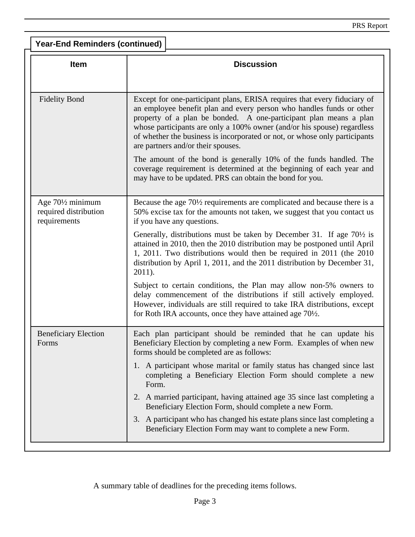| <b>Year-End Reminders (continued)</b>                                               |                                                                                                                                                                                                                                                                                                                                                                                                                      |  |  |
|-------------------------------------------------------------------------------------|----------------------------------------------------------------------------------------------------------------------------------------------------------------------------------------------------------------------------------------------------------------------------------------------------------------------------------------------------------------------------------------------------------------------|--|--|
| <b>Item</b>                                                                         | <b>Discussion</b>                                                                                                                                                                                                                                                                                                                                                                                                    |  |  |
| <b>Fidelity Bond</b>                                                                | Except for one-participant plans, ERISA requires that every fiduciary of<br>an employee benefit plan and every person who handles funds or other<br>property of a plan be bonded. A one-participant plan means a plan<br>whose participants are only a 100% owner (and/or his spouse) regardless<br>of whether the business is incorporated or not, or whose only participants<br>are partners and/or their spouses. |  |  |
|                                                                                     | The amount of the bond is generally 10% of the funds handled. The<br>coverage requirement is determined at the beginning of each year and<br>may have to be updated. PRS can obtain the bond for you.                                                                                                                                                                                                                |  |  |
| Age 70 <sup>1</sup> / <sub>2</sub> minimum<br>required distribution<br>requirements | Because the age 70 <sup>1</sup> / <sub>2</sub> requirements are complicated and because there is a<br>50% excise tax for the amounts not taken, we suggest that you contact us<br>if you have any questions.                                                                                                                                                                                                         |  |  |
|                                                                                     | Generally, distributions must be taken by December 31. If age 70 <sup>1/2</sup> is<br>attained in 2010, then the 2010 distribution may be postponed until April<br>1, 2011. Two distributions would then be required in 2011 (the 2010<br>distribution by April 1, 2011, and the 2011 distribution by December 31,<br>2011).                                                                                         |  |  |
|                                                                                     | Subject to certain conditions, the Plan may allow non-5% owners to<br>delay commencement of the distributions if still actively employed.<br>However, individuals are still required to take IRA distributions, except<br>for Roth IRA accounts, once they have attained age $70\frac{1}{2}$ .                                                                                                                       |  |  |
| <b>Beneficiary Election</b><br>Forms                                                | Each plan participant should be reminded that he can update his<br>Beneficiary Election by completing a new Form. Examples of when new<br>forms should be completed are as follows:                                                                                                                                                                                                                                  |  |  |
|                                                                                     | 1. A participant whose marital or family status has changed since last<br>completing a Beneficiary Election Form should complete a new<br>Form.                                                                                                                                                                                                                                                                      |  |  |
|                                                                                     | 2. A married participant, having attained age 35 since last completing a<br>Beneficiary Election Form, should complete a new Form.                                                                                                                                                                                                                                                                                   |  |  |
|                                                                                     | 3. A participant who has changed his estate plans since last completing a<br>Beneficiary Election Form may want to complete a new Form.                                                                                                                                                                                                                                                                              |  |  |